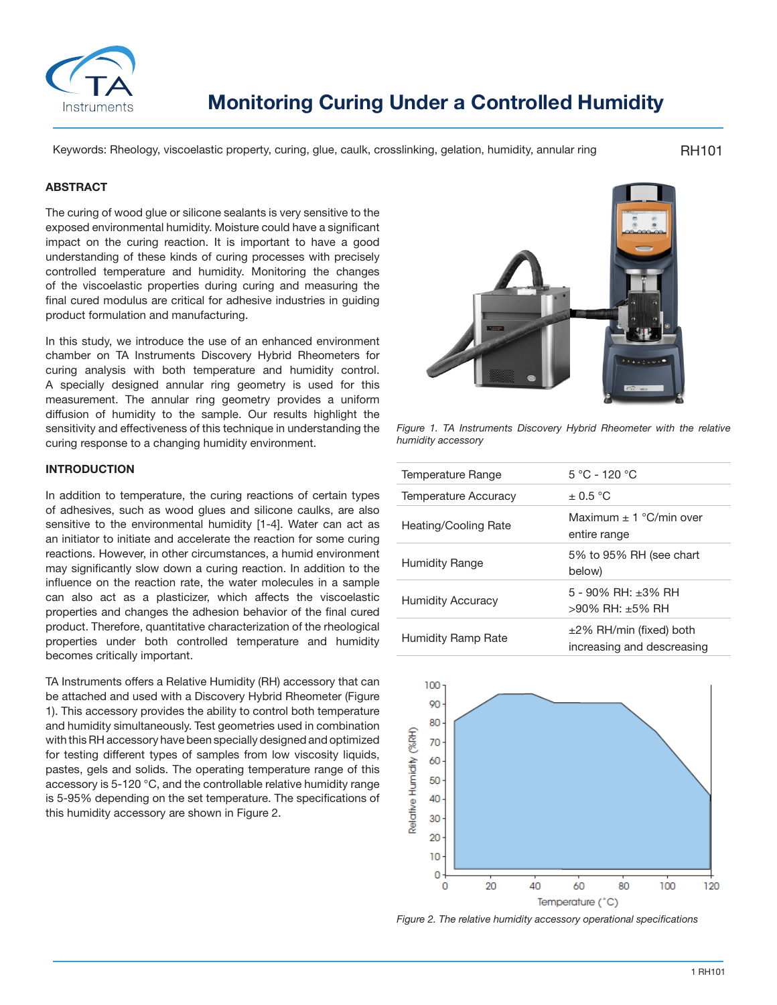

Keywords: Rheology, viscoelastic property, curing, glue, caulk, crosslinking, gelation, humidity, annular ring

RH101

#### **ABSTRACT**

The curing of wood glue or silicone sealants is very sensitive to the exposed environmental humidity. Moisture could have a significant impact on the curing reaction. It is important to have a good understanding of these kinds of curing processes with precisely controlled temperature and humidity. Monitoring the changes of the viscoelastic properties during curing and measuring the final cured modulus are critical for adhesive industries in guiding product formulation and manufacturing.

In this study, we introduce the use of an enhanced environment chamber on TA Instruments Discovery Hybrid Rheometers for curing analysis with both temperature and humidity control. A specially designed annular ring geometry is used for this measurement. The annular ring geometry provides a uniform diffusion of humidity to the sample. Our results highlight the sensitivity and effectiveness of this technique in understanding the curing response to a changing humidity environment.

#### **INTRODUCTION**

In addition to temperature, the curing reactions of certain types of adhesives, such as wood glues and silicone caulks, are also sensitive to the environmental humidity [1-4]. Water can act as an initiator to initiate and accelerate the reaction for some curing reactions. However, in other circumstances, a humid environment may significantly slow down a curing reaction. In addition to the influence on the reaction rate, the water molecules in a sample can also act as a plasticizer, which affects the viscoelastic properties and changes the adhesion behavior of the final cured product. Therefore, quantitative characterization of the rheological properties under both controlled temperature and humidity becomes critically important.

TA Instruments offers a Relative Humidity (RH) accessory that can be attached and used with a Discovery Hybrid Rheometer (Figure 1). This accessory provides the ability to control both temperature and humidity simultaneously. Test geometries used in combination with this RH accessory have been specially designed and optimized for testing different types of samples from low viscosity liquids, pastes, gels and solids. The operating temperature range of this accessory is 5-120 °C, and the controllable relative humidity range is 5-95% depending on the set temperature. The specifications of this humidity accessory are shown in Figure 2.



*Figure 1. TA Instruments Discovery Hybrid Rheometer with the relative humidity accessory*

| Temperature Range        | $5 °C - 120 °C$                                            |  |  |
|--------------------------|------------------------------------------------------------|--|--|
| Temperature Accuracy     | $+0.5\degree C$                                            |  |  |
| Heating/Cooling Rate     | Maximum + 1 $^{\circ}$ C/min over<br>entire range          |  |  |
| <b>Humidity Range</b>    | 5% to 95% RH (see chart<br>below)                          |  |  |
| <b>Humidity Accuracy</b> | $5 - 90\%$ RH: $+3\%$ RH<br>$>90\%$ RH: +5% RH             |  |  |
| Humidity Ramp Rate       | $\pm$ 2% RH/min (fixed) both<br>increasing and descreasing |  |  |



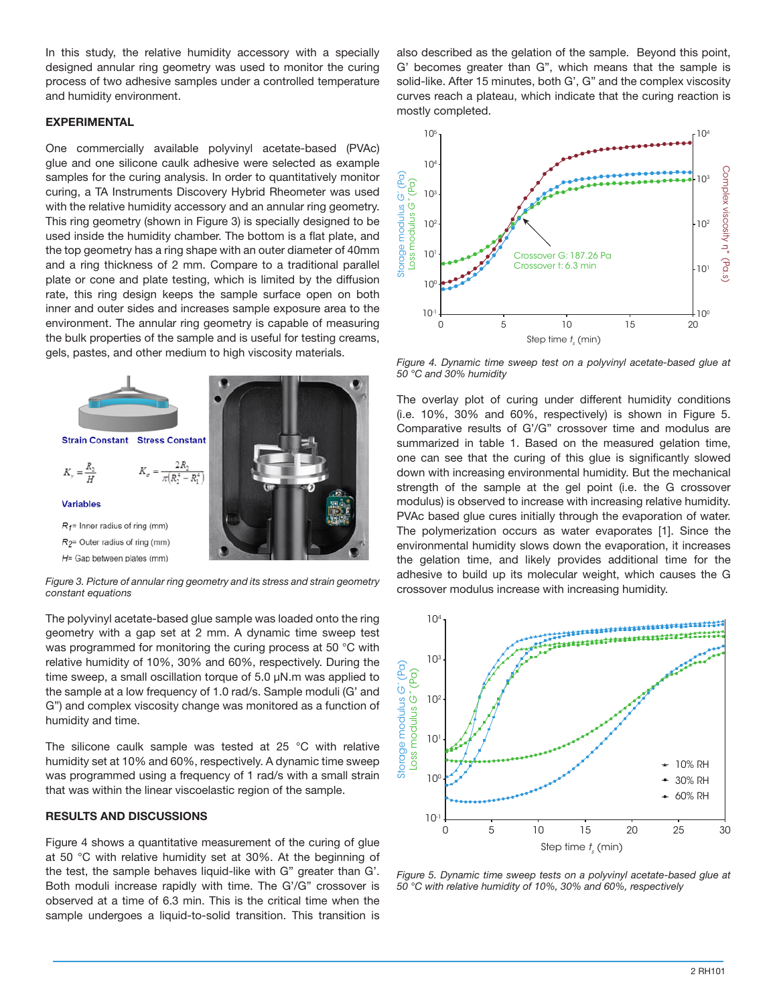In this study, the relative humidity accessory with a specially designed annular ring geometry was used to monitor the curing process of two adhesive samples under a controlled temperature and humidity environment.

#### **EXPERIMENTAL**

One commercially available polyvinyl acetate-based (PVAc) glue and one silicone caulk adhesive were selected as example samples for the curing analysis. In order to quantitatively monitor curing, a TA Instruments Discovery Hybrid Rheometer was used with the relative humidity accessory and an annular ring geometry. This ring geometry (shown in Figure 3) is specially designed to be used inside the humidity chamber. The bottom is a flat plate, and the top geometry has a ring shape with an outer diameter of 40mm and a ring thickness of 2 mm. Compare to a traditional parallel plate or cone and plate testing, which is limited by the diffusion rate, this ring design keeps the sample surface open on both inner and outer sides and increases sample exposure area to the environment. The annular ring geometry is capable of measuring the bulk properties of the sample and is useful for testing creams, gels, pastes, and other medium to high viscosity materials.



*Figure 3. Picture of annular ring geometry and its stress and strain geometry constant equations*

The polyvinyl acetate-based glue sample was loaded onto the ring geometry with a gap set at 2 mm. A dynamic time sweep test was programmed for monitoring the curing process at 50 °C with relative humidity of 10%, 30% and 60%, respectively. During the time sweep, a small oscillation torque of 5.0 µN.m was applied to the sample at a low frequency of 1.0 rad/s. Sample moduli (G' and G") and complex viscosity change was monitored as a function of humidity and time.

The silicone caulk sample was tested at 25 °C with relative humidity set at 10% and 60%, respectively. A dynamic time sweep was programmed using a frequency of 1 rad/s with a small strain that was within the linear viscoelastic region of the sample.

#### **RESULTS AND DISCUSSIONS**

Figure 4 shows a quantitative measurement of the curing of glue at 50 °C with relative humidity set at 30%. At the beginning of the test, the sample behaves liquid-like with G" greater than G'. Both moduli increase rapidly with time. The G'/G" crossover is observed at a time of 6.3 min. This is the critical time when the sample undergoes a liquid-to-solid transition. This transition is also described as the gelation of the sample. Beyond this point, G' becomes greater than G", which means that the sample is solid-like. After 15 minutes, both G', G" and the complex viscosity curves reach a plateau, which indicate that the curing reaction is mostly completed.



*Figure 4. Dynamic time sweep test on a polyvinyl acetate-based glue at 50 °C and 30% humidity*

The overlay plot of curing under different humidity conditions (i.e. 10%, 30% and 60%, respectively) is shown in Figure 5. Comparative results of G'/G" crossover time and modulus are summarized in table 1. Based on the measured gelation time, one can see that the curing of this glue is significantly slowed down with increasing environmental humidity. But the mechanical strength of the sample at the gel point (i.e. the G crossover modulus) is observed to increase with increasing relative humidity. PVAc based glue cures initially through the evaporation of water. The polymerization occurs as water evaporates [1]. Since the environmental humidity slows down the evaporation, it increases the gelation time, and likely provides additional time for the adhesive to build up its molecular weight, which causes the G crossover modulus increase with increasing humidity.



*Figure 5. Dynamic time sweep tests on a polyvinyl acetate-based glue at*